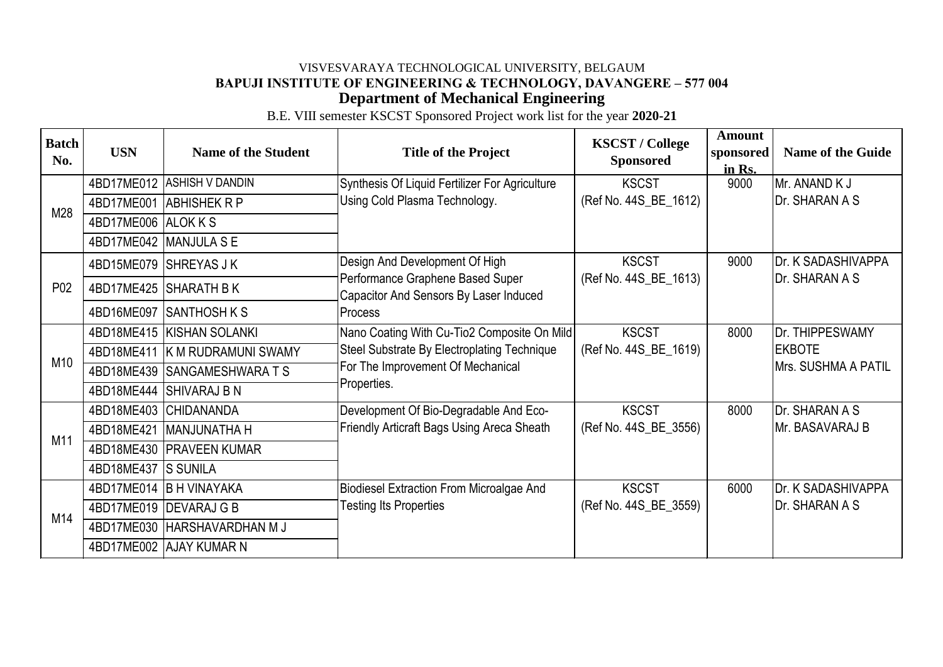B.E. VIII semester KSCST Sponsored Project work list for the year **2020-21**

| <b>Batch</b><br>No. | <b>USN</b>          | <b>Name of the Student</b>     | <b>Title of the Project</b>                                                                                                                    | <b>KSCST / College</b><br><b>Sponsored</b> | <b>Amount</b><br>sponsored<br>in Rs. | <b>Name of the Guide</b>             |
|---------------------|---------------------|--------------------------------|------------------------------------------------------------------------------------------------------------------------------------------------|--------------------------------------------|--------------------------------------|--------------------------------------|
| M28                 |                     | 4BD17ME012 ASHISH V DANDIN     | Synthesis Of Liquid Fertilizer For Agriculture<br>Using Cold Plasma Technology.                                                                | <b>KSCST</b>                               | 9000                                 | Mr. ANAND K J                        |
|                     | 4BD17ME001          | <b>ABHISHEK R P</b>            |                                                                                                                                                | (Ref No. 44S_BE_1612)                      |                                      | Dr. SHARAN A S                       |
|                     | 4BD17ME006 ALOK K S |                                |                                                                                                                                                |                                            |                                      |                                      |
|                     |                     | 4BD17ME042 MANJULA S E         |                                                                                                                                                |                                            |                                      |                                      |
|                     |                     | 4BD15ME079 SHREYAS JK          | Design And Development Of High<br>Performance Graphene Based Super<br>Capacitor And Sensors By Laser Induced<br><b>Process</b>                 | <b>KSCST</b>                               | 9000                                 | Dr. K SADASHIVAPPA<br>Dr. SHARAN A S |
| P <sub>0</sub> 2    |                     | 4BD17ME425 SHARATH BK          |                                                                                                                                                | (Ref No. 44S_BE_1613)                      |                                      |                                      |
|                     |                     | 4BD16ME097 SANTHOSH K S        |                                                                                                                                                |                                            |                                      |                                      |
|                     |                     | 4BD18ME415   KISHAN SOLANKI    | Nano Coating With Cu-Tio2 Composite On Mild<br>Steel Substrate By Electroplating Technique<br>For The Improvement Of Mechanical<br>Properties. | <b>KSCST</b>                               | 8000                                 | Dr. THIPPESWAMY                      |
| M10                 |                     | 4BD18ME411 K M RUDRAMUNI SWAMY |                                                                                                                                                | (Ref No. 44S_BE_1619)                      |                                      | <b>EKBOTE</b>                        |
|                     |                     | 4BD18ME439 SANGAMESHWARA T S   |                                                                                                                                                |                                            |                                      | Mrs. SUSHMA A PATIL                  |
|                     | 4BD18ME444          | <b>SHIVARAJ B N</b>            |                                                                                                                                                |                                            |                                      |                                      |
|                     | 4BD18ME403          | <b>CHIDANANDA</b>              | Development Of Bio-Degradable And Eco-<br>Friendly Articraft Bags Using Areca Sheath                                                           | <b>KSCST</b>                               | 8000                                 | Dr. SHARAN A S                       |
| M11                 | 4BD18ME421          | MANJUNATHA H                   |                                                                                                                                                | (Ref No. 44S_BE_3556)                      |                                      | Mr. BASAVARAJ B                      |
|                     |                     | 4BD18ME430 PRAVEEN KUMAR       |                                                                                                                                                |                                            |                                      |                                      |
|                     | 4BD18ME437 S SUNILA |                                |                                                                                                                                                |                                            |                                      |                                      |
|                     |                     | 4BD17ME014 B H VINAYAKA        | <b>Biodiesel Extraction From Microalgae And</b><br><b>Testing Its Properties</b>                                                               | <b>KSCST</b>                               | 6000                                 | Dr. K SADASHIVAPPA                   |
| M14                 |                     | 4BD17ME019 DEVARAJ G B         |                                                                                                                                                | (Ref No. 44S_BE_3559)                      |                                      | Dr. SHARAN A S                       |
|                     |                     | 4BD17ME030 HARSHAVARDHAN M J   |                                                                                                                                                |                                            |                                      |                                      |
|                     |                     | 4BD17ME002 AJAY KUMAR N        |                                                                                                                                                |                                            |                                      |                                      |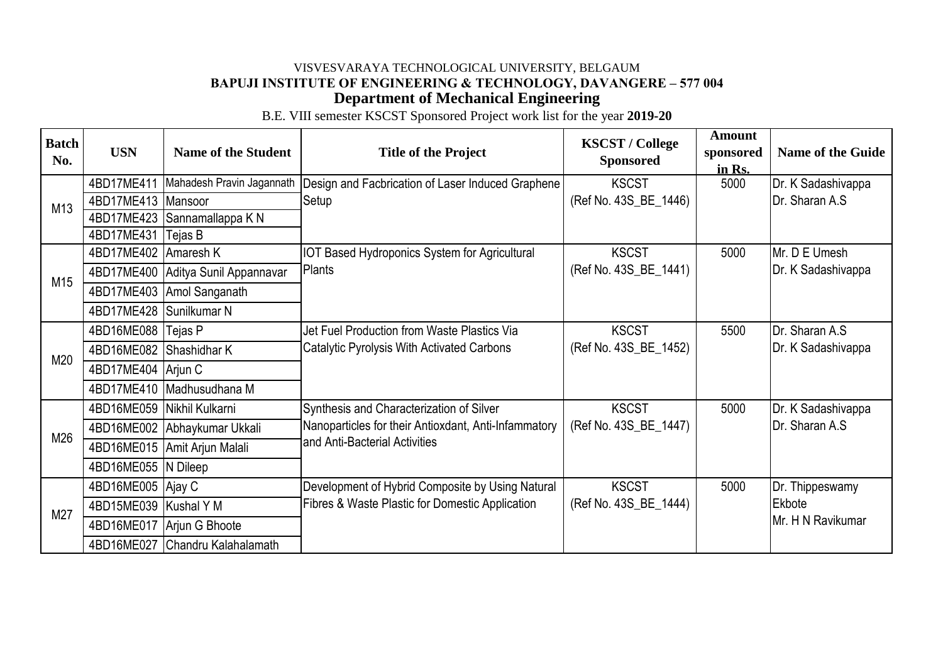B.E. VIII semester KSCST Sponsored Project work list for the year **2019-20**

| <b>Batch</b><br>No. | <b>USN</b>          | <b>Name of the Student</b> | <b>Title of the Project</b>                                                               | <b>KSCST / College</b><br><b>Sponsored</b> | <b>Amount</b><br>sponsored<br>in Rs. | <b>Name of the Guide</b> |
|---------------------|---------------------|----------------------------|-------------------------------------------------------------------------------------------|--------------------------------------------|--------------------------------------|--------------------------|
|                     | 4BD17ME411          | Mahadesh Pravin Jagannath  | Design and Facbrication of Laser Induced Graphene                                         | <b>KSCST</b>                               | 5000                                 | Dr. K Sadashivappa       |
| M13                 | 4BD17ME413          | Mansoor                    | Setup                                                                                     | (Ref No. 43S_BE_1446)                      |                                      | Dr. Sharan A.S           |
|                     | 4BD17ME423          | Sannamallappa K N          |                                                                                           |                                            |                                      |                          |
|                     | 4BD17ME431          | Tejas B                    |                                                                                           |                                            |                                      |                          |
|                     | 4BD17ME402          | Amaresh K                  | <b>IOT Based Hydroponics System for Agricultural</b>                                      | <b>KSCST</b>                               | 5000                                 | Mr. D E Umesh            |
| M15                 | 4BD17ME400          | Aditya Sunil Appannavar    | Plants                                                                                    | (Ref No. 43S_BE_1441)                      |                                      | Dr. K Sadashivappa       |
|                     | 4BD17ME403          | Amol Sanganath             |                                                                                           |                                            |                                      |                          |
|                     | 4BD17ME428          | Sunilkumar N               |                                                                                           |                                            |                                      |                          |
|                     | 4BD16ME088          | Tejas P                    | Jet Fuel Production from Waste Plastics Via<br>Catalytic Pyrolysis With Activated Carbons | <b>KSCST</b>                               | 5500                                 | Dr. Sharan A.S.          |
| M20                 | 4BD16ME082          | Shashidhar K               |                                                                                           | (Ref No. 43S_BE_1452)                      |                                      | Dr. K Sadashivappa       |
|                     | 4BD17ME404          | Arjun C                    |                                                                                           |                                            |                                      |                          |
|                     |                     | 4BD17ME410 Madhusudhana M  |                                                                                           |                                            |                                      |                          |
|                     | 4BD16ME059          | Nikhil Kulkarni            | Synthesis and Characterization of Silver                                                  | <b>KSCST</b>                               | 5000                                 | Dr. K Sadashivappa       |
|                     | 4BD16ME002          | Abhaykumar Ukkali          | Nanoparticles for their Antioxdant, Anti-Infammatory<br>and Anti-Bacterial Activities     | (Ref No. 43S_BE_1447)                      |                                      | Dr. Sharan A.S           |
| M26                 | 4BD16ME015          | Amit Arjun Malali          |                                                                                           |                                            |                                      |                          |
|                     | 4BD16ME055 N Dileep |                            |                                                                                           |                                            |                                      |                          |
| M27                 | 4BD16ME005          | Ajay C                     | Development of Hybrid Composite by Using Natural                                          | <b>KSCST</b>                               | 5000                                 | Dr. Thippeswamy          |
|                     | 4BD15ME039          | <b>Kushal Y M</b>          | Fibres & Waste Plastic for Domestic Application                                           | (Ref No. 43S_BE_1444)                      |                                      | Ekbote                   |
|                     | 4BD16ME017          | Arjun G Bhoote             |                                                                                           |                                            |                                      | Mr. H N Ravikumar        |
|                     | 4BD16ME027          | Chandru Kalahalamath       |                                                                                           |                                            |                                      |                          |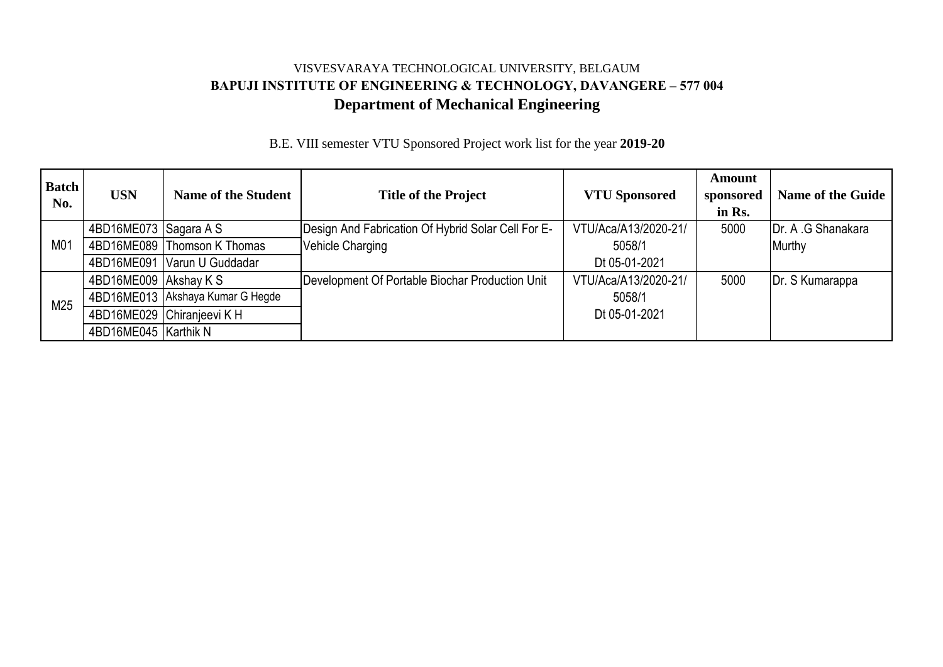# **Department of Mechanical Engineering** VISVESVARAYA TECHNOLOGICAL UNIVERSITY, BELGAUM **BAPUJI INSTITUTE OF ENGINEERING & TECHNOLOGY, DAVANGERE – 577 004**

| <b>Batch</b><br>No. | <b>USN</b>            | <b>Name of the Student</b>       | <b>Title of the Project</b>                        | <b>VTU Sponsored</b> | <b>Amount</b><br>sponsored<br>in Rs. | <b>Name of the Guide</b>   |
|---------------------|-----------------------|----------------------------------|----------------------------------------------------|----------------------|--------------------------------------|----------------------------|
| M01                 | 4BD16ME073 Sagara A S |                                  | Design And Fabrication Of Hybrid Solar Cell For E- | VTU/Aca/A13/2020-21/ | 5000                                 | <b>IDr. A .G Shanakara</b> |
|                     |                       | 4BD16ME089 Thomson K Thomas      | Vehicle Charging                                   | 5058/1               |                                      | Murthy                     |
|                     |                       | 4BD16ME091 Varun U Guddadar      |                                                    | Dt 05-01-2021        |                                      |                            |
| M25                 | 4BD16ME009 Akshay K S |                                  | Development Of Portable Biochar Production Unit    | VTU/Aca/A13/2020-21/ | 5000                                 | Dr. S Kumarappa            |
|                     |                       | 4BD16ME013 Akshaya Kumar G Hegde |                                                    | 5058/1               |                                      |                            |
|                     |                       | 4BD16ME029 Chiranjeevi K H       |                                                    | Dt 05-01-2021        |                                      |                            |
|                     | 4BD16ME045 Karthik N  |                                  |                                                    |                      |                                      |                            |

B.E. VIII semester VTU Sponsored Project work list for the year **2019-20**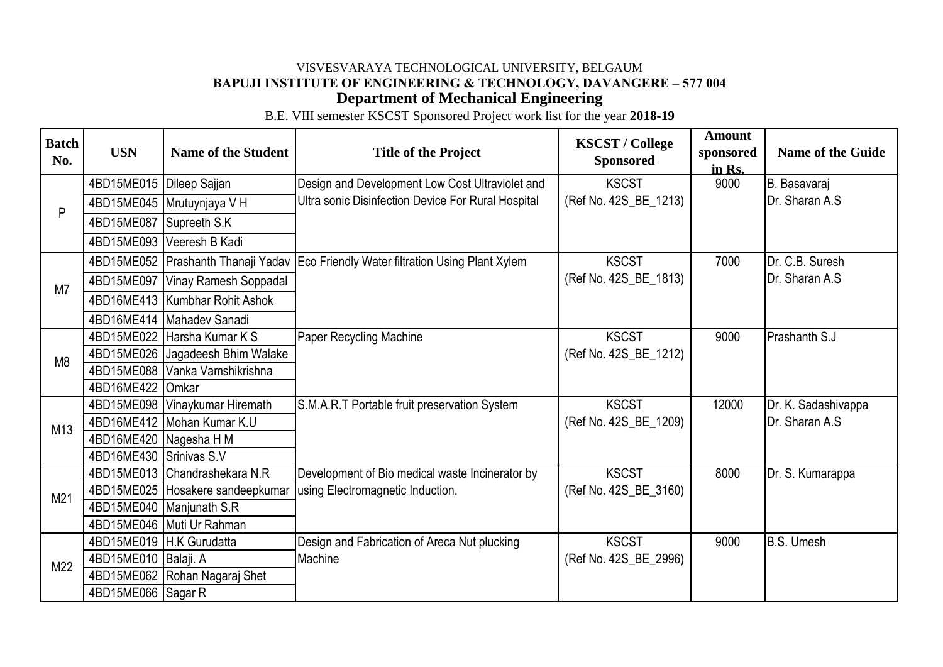B.E. VIII semester KSCST Sponsored Project work list for the year **2018-19**

| <b>Batch</b><br>No. | <b>USN</b>               | <b>Name of the Student</b>       | <b>Title of the Project</b>                                             | <b>KSCST / College</b><br><b>Sponsored</b> | <b>Amount</b><br>sponsored<br>in Rs. | <b>Name of the Guide</b> |
|---------------------|--------------------------|----------------------------------|-------------------------------------------------------------------------|--------------------------------------------|--------------------------------------|--------------------------|
|                     | 4BD15ME015               | Dileep Sajjan                    | Design and Development Low Cost Ultraviolet and                         | <b>KSCST</b>                               | 9000                                 | B. Basavaraj             |
|                     |                          | 4BD15ME045   Mrutuynjaya V H     | Ultra sonic Disinfection Device For Rural Hospital                      | (Ref No. 42S_BE_1213)                      |                                      | Dr. Sharan A.S           |
| P                   | 4BD15ME087               | Supreeth S.K                     |                                                                         |                                            |                                      |                          |
|                     | 4BD15ME093               | Veeresh B Kadi                   |                                                                         |                                            |                                      |                          |
|                     | 4BD15ME052               |                                  | Prashanth Thanaji Yadav Eco Friendly Water filtration Using Plant Xylem | <b>KSCST</b>                               | 7000                                 | Dr. C.B. Suresh          |
|                     | 4BD15ME097               | Vinay Ramesh Soppadal            |                                                                         | (Ref No. 42S_BE_1813)                      |                                      | Dr. Sharan A.S           |
| M7                  |                          | 4BD16ME413   Kumbhar Rohit Ashok |                                                                         |                                            |                                      |                          |
|                     | 4BD16ME414               | Mahadev Sanadi                   |                                                                         |                                            |                                      |                          |
|                     | 4BD15ME022               | Harsha Kumar K S                 | Paper Recycling Machine                                                 | <b>KSCST</b>                               | 9000                                 | Prashanth S.J            |
| M <sub>8</sub>      | 4BD15ME026               | Jagadeesh Bhim Walake            |                                                                         | (Ref No. 42S_BE_1212)                      |                                      |                          |
|                     | 4BD15ME088               | Vanka Vamshikrishna              |                                                                         |                                            |                                      |                          |
|                     | 4BD16ME422               | Omkar                            |                                                                         |                                            |                                      |                          |
|                     | 4BD15ME098               | Vinaykumar Hiremath              | S.M.A.R.T Portable fruit preservation System                            | <b>KSCST</b>                               | 12000                                | Dr. K. Sadashivappa      |
| M13                 |                          | 4BD16ME412 Mohan Kumar K.U       |                                                                         | (Ref No. 42S_BE_1209)                      |                                      | Dr. Sharan A.S           |
|                     | 4BD16ME420   Nagesha H M |                                  |                                                                         |                                            |                                      |                          |
|                     | 4BD16ME430               | Srinivas S.V                     |                                                                         |                                            |                                      |                          |
|                     | 4BD15ME013               | Chandrashekara N.R               | Development of Bio medical waste Incinerator by                         | <b>KSCST</b>                               | 8000                                 | Dr. S. Kumarappa         |
| M21                 | 4BD15ME025               | Hosakere sandeepkumar            | using Electromagnetic Induction.                                        | (Ref No. 42S_BE_3160)                      |                                      |                          |
|                     |                          | 4BD15ME040 Manjunath S.R         |                                                                         |                                            |                                      |                          |
|                     |                          | 4BD15ME046 Muti Ur Rahman        |                                                                         |                                            |                                      |                          |
|                     | 4BD15ME019               | H.K Gurudatta                    | Design and Fabrication of Areca Nut plucking                            | <b>KSCST</b>                               | 9000                                 | B.S. Umesh               |
| M22                 | 4BD15ME010 Balaji. A     |                                  | Machine                                                                 | (Ref No. 42S_BE_2996)                      |                                      |                          |
|                     | 4BD15ME062               | Rohan Nagaraj Shet               |                                                                         |                                            |                                      |                          |
|                     | 4BD15ME066 Sagar R       |                                  |                                                                         |                                            |                                      |                          |